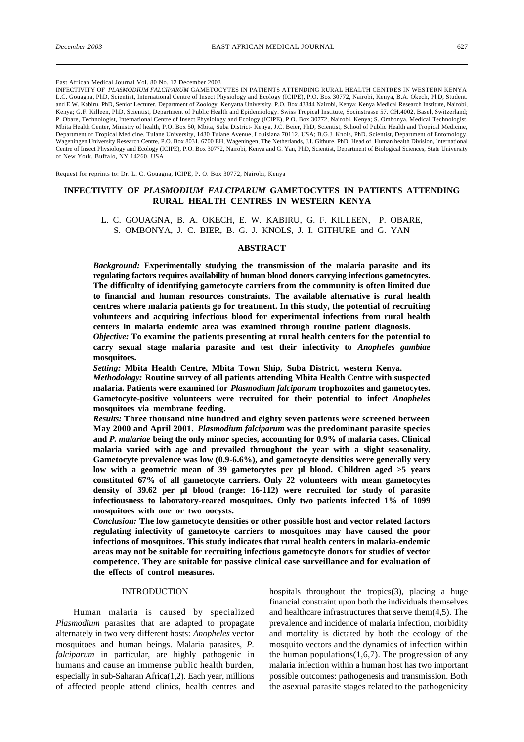East African Medical Journal Vol. 80 No. 12 December 2003

INFECTIVITY OF *PLASMODIUM FALCIPARUM* GAMETOCYTES IN PATIENTS ATTENDING RURAL HEALTH CENTRES IN WESTERN KENYA L.C. Gouagna, PhD, Scientist, International Centre of Insect Physiology and Ecology (ICIPE), P.O. Box 30772, Nairobi, Kenya, B.A. Okech, PhD, Student. and E.W. Kabiru, PhD, Senior Lecturer, Department of Zoology, Kenyatta University, P.O. Box 43844 Nairobi, Kenya; Kenya Medical Research Institute, Nairobi, Kenya; G.F. Killeen, PhD, Scientist, Department of Public Health and Epidemiology. Swiss Tropical Institute, Socinstrasse 57. CH.4002, Basel, Switzerland; P. Obare, Technologist, International Centre of Insect Physiology and Ecology (ICIPE), P.O. Box 30772, Nairobi, Kenya; S. Ombonya, Medical Technologist, Mbita Health Center, Ministry of health, P.O. Box 50, Mbita, Suba District- Kenya, J.C. Beier, PhD, Scientist, School of Public Health and Tropical Medicine, Department of Tropical Medicine, Tulane University, 1430 Tulane Avenue, Louisiana 70112, USA; B.G.J. Knols, PhD. Scientist, Department of Entomology, Wageningen University Research Centre, P.O. Box 8031, 6700 EH, Wageningen, The Netherlands, J.I. Githure, PhD, Head of Human health Division, International Centre of Insect Physiology and Ecology (ICIPE), P.O. Box 30772, Nairobi, Kenya and G. Yan, PhD, Scientist, Department of Biological Sciences, State University of New York, Buffalo, NY 14260, USA

Request for reprints to: Dr. L. C. Gouagna, ICIPE, P. O. Box 30772, Nairobi, Kenya

# **INFECTIVITY OF** *PLASMODIUM FALCIPARUM* **GAMETOCYTES IN PATIENTS ATTENDING RURAL HEALTH CENTRES IN WESTERN KENYA**

L. C. GOUAGNA, B. A. OKECH, E. W. KABIRU, G. F. KILLEEN, P. OBARE, S. OMBONYA, J. C. BIER, B. G. J. KNOLS, J. I. GITHURE and G. YAN

## **ABSTRACT**

*Background:* **Experimentally studying the transmission of the malaria parasite and its regulating factors requires availability of human blood donors carrying infectious gametocytes. The difficulty of identifying gametocyte carriers from the community is often limited due to financial and human resources constraints. The available alternative is rural health centres where malaria patients go for treatment. In this study, the potential of recruiting volunteers and acquiring infectious blood for experimental infections from rural health centers in malaria endemic area was examined through routine patient diagnosis.**

*Objective:* **To examine the patients presenting at rural health centers for the potential to carry sexual stage malaria parasite and test their infectivity to** *Anopheles gambiae* **mosquitoes.**

*Setting:* **Mbita Health Centre, Mbita Town Ship, Suba District, western Kenya.**

*Methodology:* **Routine survey of all patients attending Mbita Health Centre with suspected malaria. Patients were examined for** *Plasmodium falciparum* **trophozoites and gametocytes. Gametocyte-positive volunteers were recruited for their potential to infect** *Anopheles* **mosquitoes via membrane feeding.**

*Results:* **Three thousand nine hundred and eighty seven patients were screened between May 2000 and April 2001.** *Plasmodium falciparum* **was the predominant parasite species and** *P. malariae* **being the only minor species, accounting for 0.9% of malaria cases. Clinical malaria varied with age and prevailed throughout the year with a slight seasonality. Gametocyte prevalence was low (0.9-6.6%), and gametocyte densities were generally very low with a geometric mean of 39 gametocytes per µl blood. Children aged >5 years constituted 67% of all gametocyte carriers. Only 22 volunteers with mean gametocytes density of 39.62 per µl blood (range: 16-112) were recruited for study of parasite infectiousness to laboratory-reared mosquitoes. Only two patients infected 1% of 1099 mosquitoes with one or two oocysts.**

*Conclusion:* **The low gametocyte densities or other possible host and vector related factors regulating infectivity of gametocyte carriers to mosquitoes may have caused the poor infections of mosquitoes. This study indicates that rural health centers in malaria-endemic areas may not be suitable for recruiting infectious gametocyte donors for studies of vector competence. They are suitable for passive clinical case surveillance and for evaluation of the effects of control measures.**

## INTRODUCTION

Human malaria is caused by specialized *Plasmodium* parasites that are adapted to propagate alternately in two very different hosts: *Anopheles* vector mosquitoes and human beings. Malaria parasites, *P. falciparum* in particular, are highly pathogenic in humans and cause an immense public health burden, especially in sub-Saharan Africa(1,2). Each year, millions of affected people attend clinics, health centres and hospitals throughout the tropics(3), placing a huge financial constraint upon both the individuals themselves and healthcare infrastructures that serve them(4,5). The prevalence and incidence of malaria infection, morbidity and mortality is dictated by both the ecology of the mosquito vectors and the dynamics of infection within the human populations $(1,6,7)$ . The progression of any malaria infection within a human host has two important possible outcomes: pathogenesis and transmission. Both the asexual parasite stages related to the pathogenicity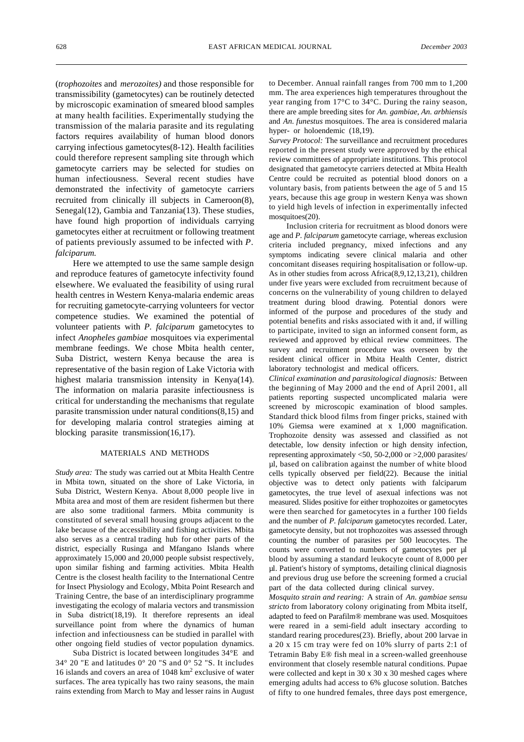(*trophozoites* and *merozoites)* and those responsible for transmissibility (gametocytes) can be routinely detected by microscopic examination of smeared blood samples at many health facilities. Experimentally studying the transmission of the malaria parasite and its regulating factors requires availability of human blood donors carrying infectious gametocytes(8-12). Health facilities could therefore represent sampling site through which gametocyte carriers may be selected for studies on human infectiousness. Several recent studies have demonstrated the infectivity of gametocyte carriers recruited from clinically ill subjects in Cameroon(8), Senegal(12), Gambia and Tanzania(13). These studies, have found high proportion of individuals carrying gametocytes either at recruitment or following treatment of patients previously assumed to be infected with *P. falciparum.*

Here we attempted to use the same sample design and reproduce features of gametocyte infectivity found elsewhere. We evaluated the feasibility of using rural health centres in Western Kenya-malaria endemic areas for recruiting gametocyte-carrying volunteers for vector competence studies. We examined the potential of volunteer patients with *P. falciparum* gametocytes to infect *Anopheles gambiae* mosquitoes via experimental membrane feedings. We chose Mbita health center, Suba District, western Kenya because the area is representative of the basin region of Lake Victoria with highest malaria transmission intensity in Kenya(14). The information on malaria parasite infectiousness is critical for understanding the mechanisms that regulate parasite transmission under natural conditions(8,15) and for developing malaria control strategies aiming at blocking parasite transmission(16,17).

#### MATERIALS AND METHODS

*Study area:* The study was carried out at Mbita Health Centre in Mbita town, situated on the shore of Lake Victoria, in Suba District, Western Kenya. About 8,000 people live in Mbita area and most of them are resident fishermen but there are also some traditional farmers. Mbita community is constituted of several small housing groups adjacent to the lake because of the accessibility and fishing activities. Mbita also serves as a central trading hub for other parts of the district, especially Rusinga and Mfangano Islands where approximately 15,000 and 20,000 people subsist respectively, upon similar fishing and farming activities. Mbita Health Centre is the closest health facility to the International Centre for Insect Physiology and Ecology, Mbita Point Research and Training Centre, the base of an interdisciplinary programme investigating the ecology of malaria vectors and transmission in Suba district(18,19). It therefore represents an ideal surveillance point from where the dynamics of human infection and infectiousness can be studied in parallel with other ongoing field studies of vector population dynamics.

Suba District is located between longitudes 34°E and 34° 20 "E and latitudes 0° 20 "S and 0° 52 "S. It includes 16 islands and covers an area of 1048 km<sup>2</sup> exclusive of water surfaces. The area typically has two rainy seasons, the main rains extending from March to May and lesser rains in August to December. Annual rainfall ranges from 700 mm to 1,200 mm. The area experiences high temperatures throughout the year ranging from 17°C to 34°C. During the rainy season, there are ample breeding sites for *An. gambiae, An. arbhiensis* and *An. funestus* mosquitoes. The area is considered malaria hyper- or holoendemic (18,19).

*Survey Protocol:* The surveillance and recruitment procedures reported in the present study were approved by the ethical review committees of appropriate institutions. This protocol designated that gametocyte carriers detected at Mbita Health Centre could be recruited as potential blood donors on a voluntary basis, from patients between the age of 5 and 15 years, because this age group in western Kenya was shown to yield high levels of infection in experimentally infected mosquitoes(20).

Inclusion criteria for recruitment as blood donors were age and *P. falciparum* gametocyte carriage, whereas exclusion criteria included pregnancy, mixed infections and any symptoms indicating severe clinical malaria and other concomitant diseases requiring hospitalisation or follow-up. As in other studies from across Africa(8,9,12,13,21), children under five years were excluded from recruitment because of concerns on the vulnerability of young children to delayed treatment during blood drawing. Potential donors were informed of the purpose and procedures of the study and potential benefits and risks associated with it and, if willing to participate, invited to sign an informed consent form, as reviewed and approved by ethical review committees. The survey and recruitment procedure was overseen by the resident clinical officer in Mbita Health Center, district laboratory technologist and medical officers.

*Clinical examination and parasitological diagnosis:* Between the beginning of May 2000 and the end of April 2001, all patients reporting suspected uncomplicated malaria were screened by microscopic examination of blood samples. Standard thick blood films from finger pricks, stained with 10% Giemsa were examined at x 1,000 magnification. Trophozoite density was assessed and classified as not detectable, low density infection or high density infection, representing approximately <50, 50-2,000 or >2,000 parasites/ µl, based on calibration against the number of white blood cells typically observed per field(22). Because the initial objective was to detect only patients with falciparum gametocytes, the true level of asexual infections was not measured. Slides positive for either trophozoites or gametocytes were then searched for gametocytes in a further 100 fields and the number of *P. falciparum* gametocytes recorded. Later, gametocyte density, but not trophozoites was assessed through counting the number of parasites per 500 leucocytes. The counts were converted to numbers of gametocytes per µl blood by assuming a standard leukocyte count of 8,000 per µl. Patient's history of symptoms, detailing clinical diagnosis and previous drug use before the screening formed a crucial part of the data collected during clinical survey.

*Mosquito strain and rearing:* A strain of *An. gambiae sensu stricto* from laboratory colony originating from Mbita itself, adapted to feed on Parafilm® membrane was used. Mosquitoes were reared in a semi-field adult insectary according to standard rearing procedures(23). Briefly, about 200 larvae in a 20 x 15 cm tray were fed on 10% slurry of parts 2:1 of Tetramin Baby E® fish meal in a screen-walled greenhouse environment that closely resemble natural conditions. Pupae were collected and kept in 30 x 30 x 30 meshed cages where emerging adults had access to 6% glucose solution. Batches of fifty to one hundred females, three days post emergence,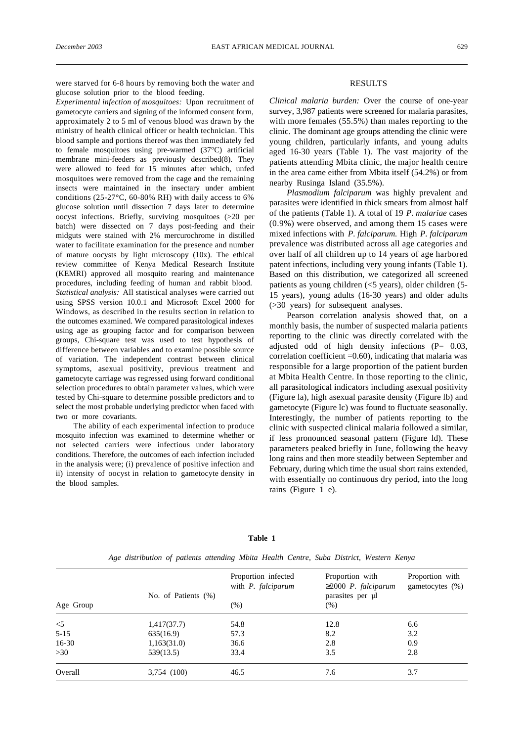were starved for 6-8 hours by removing both the water and glucose solution prior to the blood feeding.

*Experimental infection of mosquitoes:* Upon recruitment of gametocyte carriers and signing of the informed consent form, approximately 2 to 5 ml of venous blood was drawn by the ministry of health clinical officer or health technician. This blood sample and portions thereof was then immediately fed to female mosquitoes using pre-warmed (37°C) artificial membrane mini-feeders as previously described(8). They were allowed to feed for 15 minutes after which, unfed mosquitoes were removed from the cage and the remaining insects were maintained in the insectary under ambient conditions (25-27°C, 60-80% RH) with daily access to 6% glucose solution until dissection 7 days later to determine oocyst infections. Briefly, surviving mosquitoes (>20 per batch) were dissected on 7 days post-feeding and their midguts were stained with 2% mercurochrome in distilled water to facilitate examination for the presence and number of mature oocysts by light microscopy (10x). The ethical review committee of Kenya Medical Research Institute (KEMRI) approved all mosquito rearing and maintenance procedures, including feeding of human and rabbit blood. *Statistical analysis:* All statistical analyses were carried out using SPSS version 10.0.1 and Microsoft Excel 2000 for Windows, as described in the results section in relation to the outcomes examined. We compared parasitological indexes using age as grouping factor and for comparison between groups, Chi-square test was used to test hypothesis of difference between variables and to examine possible source of variation. The independent contrast between clinical symptoms, asexual positivity, previous treatment and gametocyte carriage was regressed using forward conditional selection procedures to obtain parameter values, which were tested by Chi-square to determine possible predictors and to select the most probable underlying predictor when faced with two or more covariants.

The ability of each experimental infection to produce mosquito infection was examined to determine whether or not selected carriers were infectious under laboratory conditions. Therefore, the outcomes of each infection included in the analysis were; (i) prevalence of positive infection and ii) intensity of oocyst in relation to gametocyte density in the blood samples.

### RESULTS

*Clinical malaria burden:* Over the course of one-year survey, 3,987 patients were screened for malaria parasites, with more females (55.5%) than males reporting to the clinic. The dominant age groups attending the clinic were young children, particularly infants, and young adults aged 16-30 years (Table 1). The vast majority of the patients attending Mbita clinic, the major health centre in the area came either from Mbita itself (54.2%) or from nearby Rusinga Island (35.5%).

*Plasmodium falciparum* was highly prevalent and parasites were identified in thick smears from almost half of the patients (Table 1). A total of 19 *P. malariae* cases (0.9%) were observed, and among them 15 cases were mixed infections with *P. falciparum.* High *P. falciparum* prevalence was distributed across all age categories and over half of all children up to 14 years of age harbored patent infections, including very young infants (Table 1). Based on this distribution, we categorized all screened patients as young children (<5 years), older children (5- 15 years), young adults (16-30 years) and older adults (>30 years) for subsequent analyses.

Pearson correlation analysis showed that, on a monthly basis, the number of suspected malaria patients reporting to the clinic was directly correlated with the adjusted odd of high density infections (P= 0.03, correlation coefficient  $=0.60$ ), indicating that malaria was responsible for a large proportion of the patient burden at Mbita Health Centre. In those reporting to the clinic, all parasitological indicators including asexual positivity (Figure la), high asexual parasite density (Figure lb) and gametocyte (Figure lc) was found to fluctuate seasonally. Interestingly, the number of patients reporting to the clinic with suspected clinical malaria followed a similar, if less pronounced seasonal pattern (Figure ld). These parameters peaked briefly in June, following the heavy long rains and then more steadily between September and February, during which time the usual short rains extended, with essentially no continuous dry period, into the long rains (Figure 1 e).

|           | No. of Patients (%) | Proportion infected<br>with <i>P. falciparum</i> | Proportion with<br>2000 P. falciparum<br>parasites per µl | Proportion with<br>gametocytes $(\%)$ |
|-----------|---------------------|--------------------------------------------------|-----------------------------------------------------------|---------------------------------------|
| Age Group |                     | (% )                                             | (% )                                                      |                                       |
| $\leq$ 5  | 1,417(37.7)         | 54.8                                             | 12.8                                                      | 6.6                                   |
| $5 - 15$  | 635(16.9)           | 57.3                                             | 8.2                                                       | 3.2                                   |
| $16-30$   | 1,163(31.0)         | 36.6                                             | 2.8                                                       | 0.9                                   |
| >30       | 539(13.5)           | 33.4                                             | 3.5                                                       | 2.8                                   |
| Overall   | 3,754 (100)         | 46.5                                             | 7.6                                                       | 3.7                                   |

**Table 1**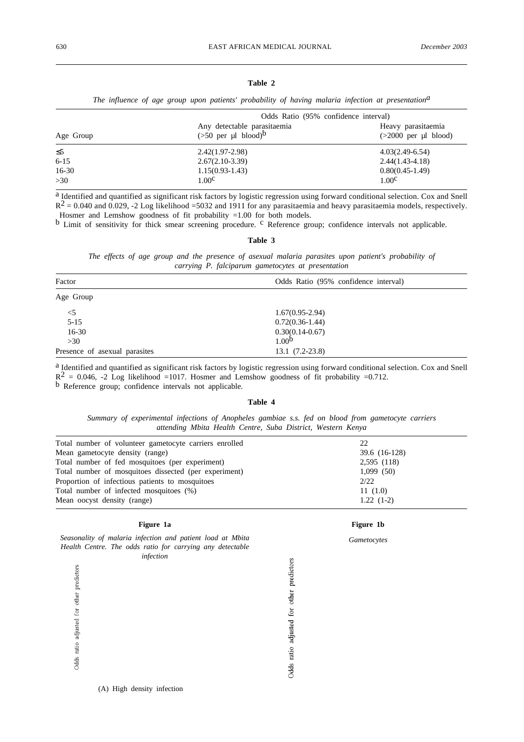# **Table 2**

*The influence of age group upon patients' probability of having malaria infection at presentationa*

|           | Odds Ratio (95% confidence interval)                            |                                              |  |  |
|-----------|-----------------------------------------------------------------|----------------------------------------------|--|--|
| Age Group | Any detectable parasitaemia<br>$(50$ per µl blood) <sup>b</sup> | Heavy parasitaemia<br>$(>2000$ per µl blood) |  |  |
|           | $2.42(1.97-2.98)$                                               | $4.03(2.49-6.54)$                            |  |  |
| $6 - 15$  | $2.67(2.10-3.39)$                                               | $2.44(1.43-4.18)$                            |  |  |
| $16-30$   | $1.15(0.93-1.43)$                                               | $0.80(0.45-1.49)$                            |  |  |
| >30       | 1.00 <sup>c</sup>                                               | 1.00 <sup>c</sup>                            |  |  |

a Identified and quantified as significant risk factors by logistic regression using forward conditional selection. Cox and Snell  $R^2 = 0.040$  and 0.029, -2 Log likelihood =5032 and 1911 for any parasitaemia and heavy parasitaemia models, respectively. Hosmer and Lemshow goodness of fit probability =1.00 for both models.

b Limit of sensitivity for thick smear screening procedure. <sup>c</sup> Reference group; confidence intervals not applicable.

#### **Table 3**

*The effects of age group and the presence of asexual malaria parasites upon patient's probability of carrying P. falciparum gametocytes at presentation*

| Factor                        | Odds Ratio (95% confidence interval) |  |
|-------------------------------|--------------------------------------|--|
| Age Group                     |                                      |  |
| $<$ 5                         | $1.67(0.95-2.94)$                    |  |
| $5 - 15$                      | $0.72(0.36-1.44)$                    |  |
| $16-30$                       | $0.30(0.14-0.67)$                    |  |
| >30                           | 1.00 <sup>b</sup>                    |  |
| Presence of asexual parasites | $13.1(7.2-23.8)$                     |  |

a Identified and quantified as significant risk factors by logistic regression using forward conditional selection. Cox and Snell  $R^2 = 0.046$ , -2 Log likelihood =1017. Hosmer and Lemshow goodness of fit probability =0.712. b Reference group; confidence intervals not applicable.

#### **Table 4**

*Summary of experimental infections of Anopheles gambiae s.s. fed on blood from gametocyte carriers attending Mbita Health Centre, Suba District, Western Kenya*

| Total number of volunteer gametocyte carriers enrolled | 22            |  |
|--------------------------------------------------------|---------------|--|
| Mean gametocyte density (range)                        | 39.6 (16-128) |  |
| Total number of fed mosquitoes (per experiment)        | 2,595 (118)   |  |
| Total number of mosquitoes dissected (per experiment)  | 1,099(50)     |  |
| Proportion of infectious patients to mosquitoes        | 2/22          |  |
| Total number of infected mosquitoes (%)                | 11(1.0)       |  |
| Mean oocyst density (range)                            | $1.22(1-2)$   |  |

Odds ratio adjusted for other predictors

## **Figure 1a**

*Seasonality of malaria infection and patient load at Mbita Health Centre. The odds ratio for carrying any detectable infection*

# **Figure 1b**

*Gametocytes*

Odds ratio adjusted for other predictors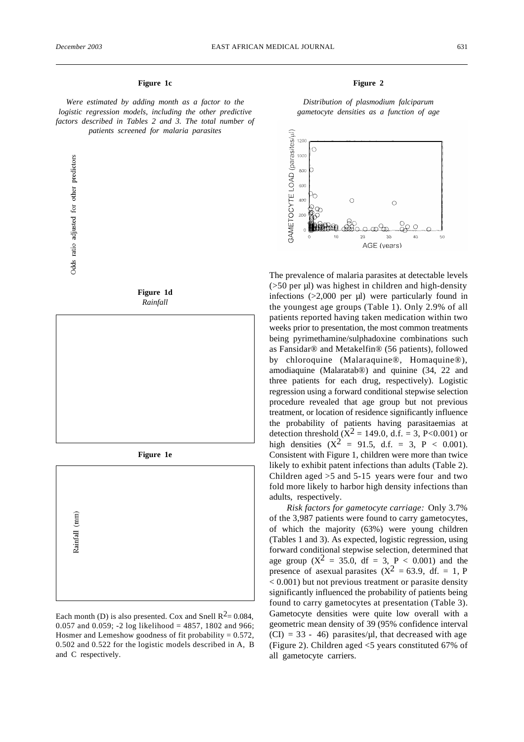## **Figure 1c**

*Were estimated by adding month as a factor to the logistic regression models, including the other predictive factors described in Tables 2 and 3. The total number of patients screened for malaria parasites*







**Figure 1e**



Each month (D) is also presented. Cox and Snell  $R^2 = 0.084$ , 0.057 and 0.059; -2 log likelihood = 4857, 1802 and 966; Hosmer and Lemeshow goodness of fit probability  $= 0.572$ , 0.502 and 0.522 for the logistic models described in A, B and C respectively.

# **Figure 2**

*Distribution of plasmodium falciparum gametocyte densities as a function of age*



The prevalence of malaria parasites at detectable levels (>50 per µl) was highest in children and high-density infections  $(>2,000$  per  $\mu$ ) were particularly found in the youngest age groups (Table 1). Only 2.9% of all patients reported having taken medication within two weeks prior to presentation, the most common treatments being pyrimethamine/sulphadoxine combinations such as Fansidar® and Metakelfin® (56 patients), followed by chloroquine (Malaraquine®, Homaquine®), amodiaquine (Malaratab®) and quinine (34, 22 and three patients for each drug, respectively). Logistic regression using a forward conditional stepwise selection procedure revealed that age group but not previous treatment, or location of residence significantly influence the probability of patients having parasitaemias at detection threshold ( $X^2 = 149.0$ , d.f. = 3, P<0.001) or high densities  $(X^2 = 91.5, d.f. = 3, P < 0.001)$ . Consistent with Figure 1, children were more than twice likely to exhibit patent infections than adults (Table 2). Children aged >5 and 5-15 years were four and two fold more likely to harbor high density infections than adults, respectively.

*Risk factors for gametocyte carriage:* Only 3.7% of the 3,987 patients were found to carry gametocytes, of which the majority (63%) were young children (Tables 1 and 3). As expected, logistic regression, using forward conditional stepwise selection, determined that age group  $(X^2 = 35.0, df = 3, P < 0.001)$  and the presence of asexual parasites  $(X^2 = 63.9, df. = 1, P)$ < 0.001) but not previous treatment or parasite density significantly influenced the probability of patients being found to carry gametocytes at presentation (Table 3). Gametocyte densities were quite low overall with a geometric mean density of 39 (95% confidence interval  $(CI) = 33 - 46$ ) parasites/ $\mu$ l, that decreased with age (Figure 2). Children aged <5 years constituted 67% of all gametocyte carriers.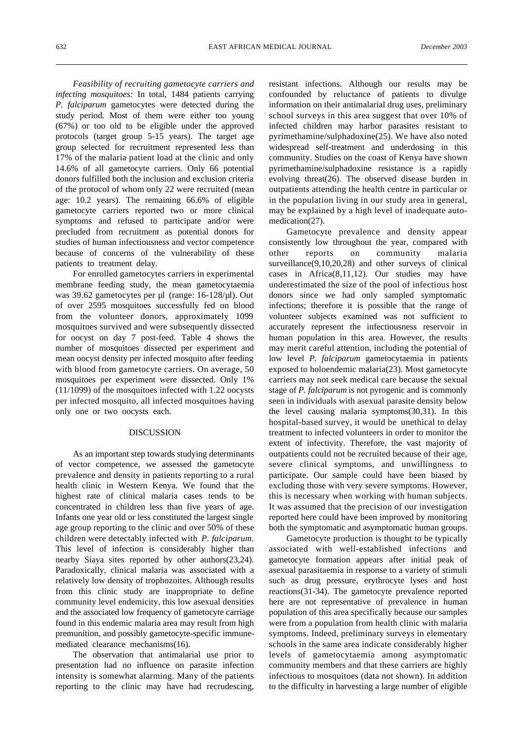*Feasibility of recruiting gametocyte carriers and infecting mosquitoes:* In total, 1484 patients carrying *P. falciparum* gametocytes were detected during the study period. Most of them were either too young (67%) or too old to be eligible under the approved protocols (target group 5-15 years). The target age group selected for recruitment represented less than 17% of the malaria patient load at the clinic and only 14.6% of all gametocyte carriers. Only 66 potential donors fulfilled both the inclusion and exclusion criteria of the protocol of whom only 22 were recruited (mean age: 10.2 years). The remaining 66.6% of eligible gametocyte carriers reported two or more clinical symptoms and refused to participate and/or were precluded from recruitment as potential donors for studies of human infectiousness and vector competence because of concerns of the vulnerability of these patients to treatment delay.

For enrolled gametocytes carriers in experimental membrane feeding study, the mean gametocytaemia was 39.62 gametocytes per µl (range: 16-128/µl). Out of over 2595 mosquitoes successfully fed on blood from the volunteer donors, approximately 1099 mosquitoes survived and were subsequently dissected for oocyst on day 7 post-feed. Table 4 shows the number of mosquitoes dissected per experiment and mean oocyst density per infected mosquito after feeding with blood from gametocyte carriers. On average, 50 mosquitoes per experiment were dissected. Only 1% (11/1099) of the mosquitoes infected with 1.22 oocysts per infected mosquito, all infected mosquitoes having only one or two oocysts each.

### DISCUSSION

As an important step towards studying determinants of vector competence, we assessed the gametocyte prevalence and density in patients reporting to a rural health clinic in Western Kenya. We found that the highest rate of clinical malaria cases tends to be concentrated in children less than five years of age. Infants one year old or less constituted the largest single age group reporting to the clinic and over 50% of these children were detectably infected with *P. falciparum*. This level of infection is considerably higher than nearby Siaya sites reported by other authors(23,24). Paradoxically, clinical malaria was associated with a relatively low density of trophozoites. Although results from this clinic study are inappropriate to define community level endemicity, this low asexual densities and the associated low frequency of gametocyte carriage found in this endemic malaria area may result from high premunition, and possibly gametocyte-specific immunemediated clearance mechanisms(16).

The observation that antimalarial use prior to presentation had no influence on parasite infection intensity is somewhat alarming. Many of the patients reporting to the clinic may have had recrudescing,

resistant infections. Although our results may be confounded by reluctance of patients to divulge information on their antimalarial drug uses, preliminary school surveys in this area suggest that over 10% of infected children may harbor parasites resistant to pyrimethamine/sulphadoxine(25). We have also noted widespread self-treatment and underdosing in this community. Studies on the coast of Kenya have shown pyrimethamine/sulphadoxine resistance is a rapidly evolving threat(26). The observed disease burden in outpatients attending the health centre in particular or in the population living in our study area in general, may be explained by a high level of inadequate automedication(27).

Gametocyte prevalence and density appear consistently low throughout the year, compared with other reports on community malaria surveillance(9,10,20,28) and other surveys of clinical cases in Africa(8,11,12). Our studies may have underestimated the size of the pool of infectious host donors since we had only sampled symptomatic infections; therefore it is possible that the range of volunteer subjects examined was not sufficient to accurately represent the infectiousness reservoir in human population in this area. However, the results may merit careful attention, including the potential of low level *P. falciparum* gametocytaemia in patients exposed to holoendemic malaria(23). Most gametocyte carriers may not seek medical care because the sexual stage of *P. falciparum* is not pyrogenic and is commonly seen in individuals with asexual parasite density below the level causing malaria symptoms(30,31). In this hospital-based survey, it would be unethical to delay treatment to infected volunteers in order to monitor the extent of infectivity. Therefore, the vast majority of outpatients could not be recruited because of their age, severe clinical symptoms, and unwillingness to participate. Our sample could have been biased by excluding those with very severe symptoms. However, this is necessary when working with human subjects. It was assumed that the precision of our investigation reported here could have been improved by monitoring both the symptomatic and asymptomatic human groups.

Gametocyte production is thought to be typically associated with well-established infections and gametocyte formation appears after initial peak of asexual parasitaemia in response to a variety of stimuli such as drug pressure, erythrocyte lyses and host reactions(31-34). The gametocyte prevalence reported here are not representative of prevalence in human population of this area specifically because our samples were from a population from health clinic with malaria symptoms. Indeed, preliminary surveys in elementary schools in the same area indicate considerably higher levels of gametocytaemia among asymptomatic community members and that these carriers are highly infectious to mosquitoes (data not shown). In addition to the difficulty in harvesting a large number of eligible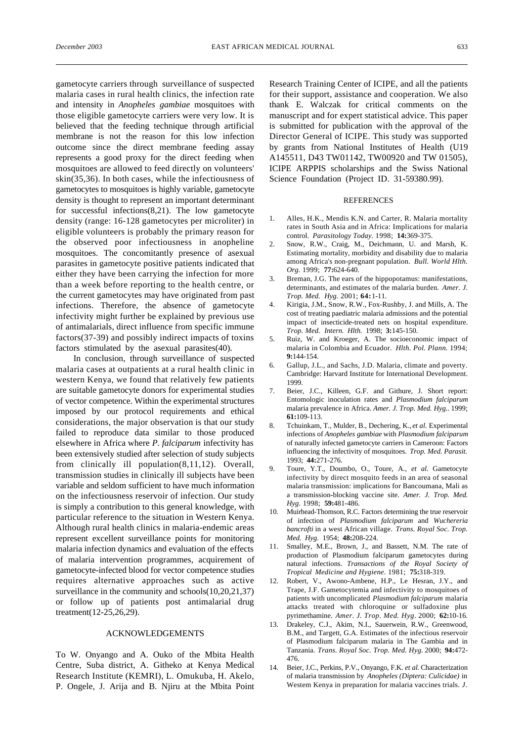gametocyte carriers through surveillance of suspected malaria cases in rural health clinics, the infection rate and intensity in *Anopheles gambiae* mosquitoes with those eligible gametocyte carriers were very low. It is believed that the feeding technique through artificial membrane is not the reason for this low infection outcome since the direct membrane feeding assay represents a good proxy for the direct feeding when mosquitoes are allowed to feed directly on volunteers' skin(35,36). In both cases, while the infectiousness of gametocytes to mosquitoes is highly variable, gametocyte density is thought to represent an important determinant for successful infections(8,21). The low gametocyte density (range: 16-128 gametocytes per microliter) in eligible volunteers is probably the primary reason for the observed poor infectiousness in anopheline mosquitoes. The concomitantly presence of asexual parasites in gametocyte positive patients indicated that either they have been carrying the infection for more than a week before reporting to the health centre, or the current gametocytes may have originated from past infections. Therefore, the absence of gametocyte infectivity might further be explained by previous use of antimalarials, direct influence from specific immune factors(37-39) and possibly indirect impacts of toxins factors stimulated by the asexual parasites(40).

In conclusion, through surveillance of suspected malaria cases at outpatients at a rural health clinic in western Kenya, we found that relatively few patients are suitable gametocyte donors for experimental studies of vector competence. Within the experimental structures imposed by our protocol requirements and ethical considerations, the major observation is that our study failed to reproduce data similar to those produced elsewhere in Africa where *P. falciparum* infectivity has been extensively studied after selection of study subjects from clinically ill population(8,11,12). Overall, transmission studies in clinically ill subjects have been variable and seldom sufficient to have much information on the infectiousness reservoir of infection. Our study is simply a contribution to this general knowledge, with particular reference to the situation in Western Kenya. Although rural health clinics in malaria-endemic areas represent excellent surveillance points for monitoring malaria infection dynamics and evaluation of the effects of malaria intervention programmes, acquirement of gametocyte-infected blood for vector competence studies requires alternative approaches such as active surveillance in the community and schools(10,20,21,37) or follow up of patients post antimalarial drug treatment(12-25,26,29).

# ACKNOWLEDGEMENTS

To W. Onyango and A. Ouko of the Mbita Health Centre, Suba district, A. Githeko at Kenya Medical Research Institute (KEMRI), L. Omukuba, H. Akelo, P. Ongele, J. Arija and B. Njiru at the Mbita Point Research Training Center of ICIPE, and all the patients for their support, assistance and cooperation. We also thank E. Walczak for critical comments on the manuscript and for expert statistical advice. This paper is submitted for publication with the approval of the Director General of ICIPE. This study was supported by grants from National Institutes of Health (U19 A145511, D43 TW01142, TW00920 and TW 01505), ICIPE ARPPIS scholarships and the Swiss National Science Foundation (Project ID. 31-59380.99).

#### **REFERENCES**

- 1. Alles, H.K., Mendis K.N. and Carter, R. Malaria mortality rates in South Asia and in Africa: Implications for malaria control. *Parasitology Today.* 1998; **14:**369-375.
- 2. Snow, R.W., Craig, M., Deichmann, U. and Marsh, K. Estimating mortality, morbidity and disability due to malaria among Africa's non-pregnant population. *Bull. World Hlth. Org*. 1999; **77:**624-640.
- Breman, J.G. The ears of the hippopotamus: manifestations, determinants, and estimates of the malaria burden. *Amer. J. Trop. Med. Hyg*. 2001; **64:**1-11.
- 4. Kirigia, J.M., Snow, R.W., Fox-Rushby, J. and Mills, A. The cost of treating paediatric malaria admissions and the potential impact of insecticide-treated nets on hospital expenditure. *Trop. Med. Intern. Hlth.* 1998; **3:**145-150.
- 5. Ruiz, W. and Kroeger, A. The socioeconomic impact of malaria in Colombia and Ecuador. *Hlth. Pol. Plann.* 1994; **9:**144-154.
- 6. Gallup, J.L., and Sachs, J.D. Malaria, climate and poverty. Cambridge: Harvard Institute for International Development. 1999.
- 7. Beier, J.C., Killeen, G.F. and Githure, J. Short report: Entomologic inoculation rates and *Plasmodium falciparum* malaria prevalence in Africa. *Amer. J. Trop. Med. Hyg*.. 1999; **61:**109-113.
- 8. Tchuinkam, T., Mulder, B., Dechering, K., *et al*. Experimental infections of *Anopheles gambiae* with *Plasmodium falciparum* of naturally infected gametocyte carriers in Cameroon: Factors influencing the infectivity of mosquitoes. *Trop. Med. Parasit.* 1993; **44:**271-276.
- 9. Toure, Y.T., Doumbo, O., Toure, A., *et al*. Gametocyte infectivity by direct mosquito feeds in an area of seasonal malaria transmission: implications for Bancoumana, Mali as a transmission-blocking vaccine site. *Amer. J. Trop. Med. Hyg*. 1998; **59:**481-486.
- 10. Muirhead-Thomson, R.C. Factors determining the true reservoir of infection of *Plasmodium falciparum* and *Wuchereria bancrofti* in a west African village. *Trans. Royal Soc. Trop. Med. Hyg.* 1954; **48:**208-224.
- 11. Smalley, M.E., Brown, J., and Bassett, N.M. The rate of production of Plasmodium falciparum gametocytes during natural infections. *Transactions of the Royal Society of Tropical Medicine and Hygiene.* 1981; **75:**318-319.
- Robert, V., Awono-Ambene, H.P., Le Hesran, J.Y., and Trape, J.F. Gametocytemia and infectivity to mosquitoes of patients with uncomplicated *Plasmodium falciparum* malaria attacks treated with chloroquine or sulfadoxine plus pyrimethamine. *Amer. J. Trop. Med. Hyg*. 2000; **62:**10-16.
- 13. Drakeley, C.J., Akim, N.I., Sauerwein, R.W., Greenwood, B.M., and Targett, G.A. Estimates of the infectious reservoir of Plasmodium falciparum malaria in The Gambia and in Tanzania. *Trans. Royal Soc. Trop. Med. Hyg.* 2000; **94:**472- 476.
- 14. Beier, J.C., Perkins, P.V., Onyango, F.K. *et al.* Characterization of malaria transmission by *Anopheles (Diptera: Culicidae)* in Westem Kenya in preparation for malaria vaccines trials. *J.*